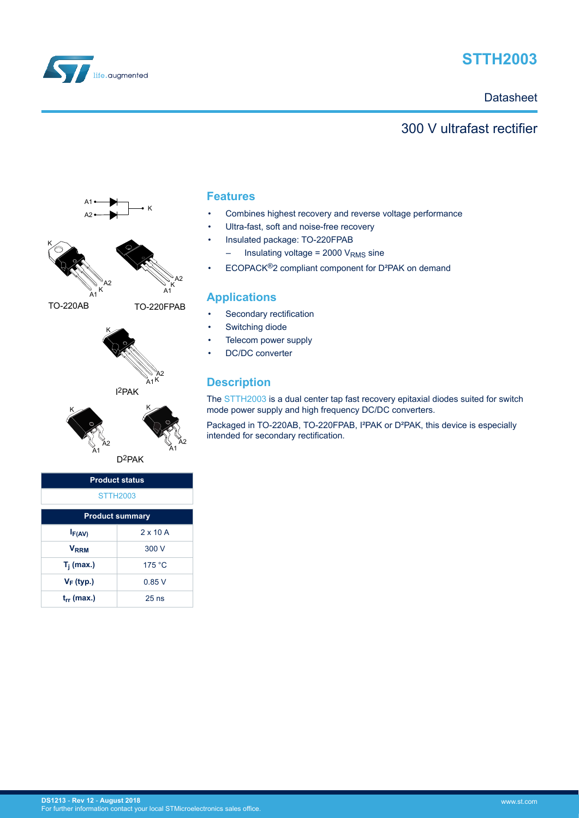

# **STTH2003**

**Datasheet** 

### 300 V ultrafast rectifier



| $I_{F(AV)}$            | $2 \times 10$ A |
|------------------------|-----------------|
| <b>V<sub>RRM</sub></b> | 300 V           |
| $T_i$ (max.)           | 175 °C          |
| $V_F$ (typ.)           | 0.85V           |
| $t_{rr}$ (max.)        | $25$ ns         |

#### **Features**

- Combines highest recovery and reverse voltage performance
- Ultra-fast, soft and noise-free recovery
- Insulated package: TO-220FPAB
- $-$  Insulating voltage = 2000  $V<sub>RMS</sub>$  sine
- ECOPACK®2 compliant component for D²PAK on demand

### **Applications**

- Secondary rectification
- Switching diode
- Telecom power supply
- DC/DC converter

### **Description**

The [STTH2003](http://www.st.com/en/product/stth2003) is a dual center tap fast recovery epitaxial diodes suited for switch mode power supply and high frequency DC/DC converters.

Packaged in TO-220AB, TO-220FPAB, I²PAK or D²PAK, this device is especially intended for secondary rectification.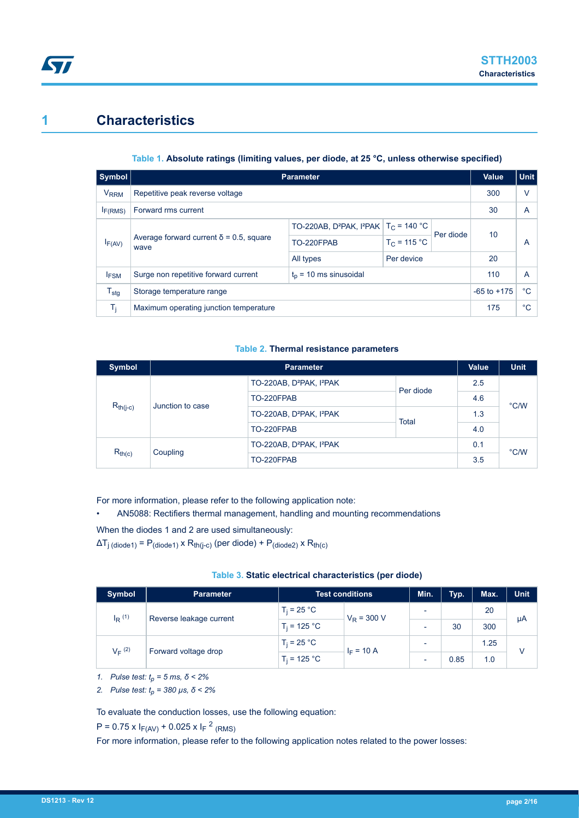## **1 Characteristics**

#### **Table 1. Absolute ratings (limiting values, per diode, at 25 °C, unless otherwise specified)**

| Symbol                 | <b>Parameter</b>                                                 |                                                                            |                |           |    | <b>Unit</b> |
|------------------------|------------------------------------------------------------------|----------------------------------------------------------------------------|----------------|-----------|----|-------------|
| <b>V<sub>RRM</sub></b> | Repetitive peak reverse voltage                                  |                                                                            |                |           |    | V           |
| I <sub>F(RMS)</sub>    | Forward rms current                                              |                                                                            |                |           |    | A           |
|                        |                                                                  | TO-220AB, D <sup>2</sup> PAK, I <sup>2</sup> PAK   T <sub>C</sub> = 140 °C |                |           | 10 | A           |
| $I_{F(AV)}$            | Average forward current $\delta$ = 0.5, square<br>wave           | TO-220FPAB                                                                 | $T_C = 115 °C$ | Per diode |    |             |
|                        |                                                                  | All types                                                                  | Per device     |           | 20 |             |
| <b>IFSM</b>            | $t_0$ = 10 ms sinusoidal<br>Surge non repetitive forward current |                                                                            |                |           |    | A           |
| $T_{\text{stg}}$       | Storage temperature range                                        |                                                                            |                |           |    | $^{\circ}C$ |
| Ti.                    | Maximum operating junction temperature                           |                                                                            |                |           |    | $^{\circ}C$ |

#### **Table 2. Thermal resistance parameters**

| <b>Symbol</b>           |                                   | <b>Parameter</b>                                 |              |     |      |
|-------------------------|-----------------------------------|--------------------------------------------------|--------------|-----|------|
|                         |                                   | TO-220AB, D <sup>2</sup> PAK, I <sup>2</sup> PAK | Per diode    | 2.5 |      |
|                         |                                   | TO-220FPAB                                       |              | 4.6 | °C/W |
|                         | $R_{th(j-c)}$<br>Junction to case | TO-220AB, D <sup>2</sup> PAK, I <sup>2</sup> PAK | <b>Total</b> | 1.3 |      |
|                         |                                   | TO-220FPAB                                       |              | 4.0 |      |
| $R_{th(c)}$<br>Coupling |                                   | TO-220AB, D <sup>2</sup> PAK, I <sup>2</sup> PAK |              |     | °C/W |
|                         |                                   | TO-220FPAB                                       |              |     |      |

For more information, please refer to the following application note:

• AN5088: Rectifiers thermal management, handling and mounting recommendations

When the diodes 1 and 2 are used simultaneously:

 $\Delta T_{j \text{(diode1)}} = P_{\text{(diode1)}} \times R_{\text{th}(j-c)}$  (per diode) +  $P_{\text{(diode2)}} \times R_{\text{th}(c)}$ 

| Table 3. Static electrical characteristics (per diode) |  |  |
|--------------------------------------------------------|--|--|
|                                                        |  |  |

| <b>Symbol</b>                                   | <b>Parameter</b> | Test conditions |  | Min.                     | Typ. | Max. | <b>Unit</b> |
|-------------------------------------------------|------------------|-----------------|--|--------------------------|------|------|-------------|
| $I_R$ <sup>(1)</sup><br>Reverse leakage current | $T_i = 25 °C$    | $V_R$ = 300 V   |  |                          | 20   |      |             |
|                                                 |                  | $T_i = 125 °C$  |  | $\overline{\phantom{0}}$ | 30   | 300  | μA          |
| $V_F$ (2)<br>Forward voltage drop               | $T_i = 25 °C$    | $I_F = 10 A$    |  |                          | 1.25 | V    |             |
|                                                 |                  | $T_i = 125 °C$  |  | ٠                        | 0.85 | 1.0  |             |

*1. Pulse test: tp = 5 ms, δ < 2%*

*2. Pulse test: tp = 380 µs, δ < 2%*

To evaluate the conduction losses, use the following equation:

 $P = 0.75 \times I_{F(AV)} + 0.025 \times I_{F}^{2}$  (RMS)

For more information, please refer to the following application notes related to the power losses: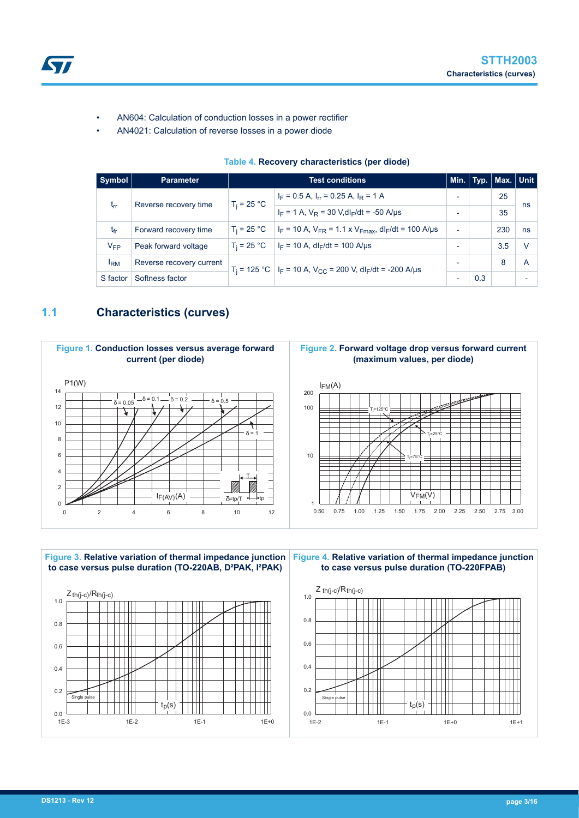

- AN604: Calculation of conduction losses in a power rectifier
- AN4021: Calculation of reverse losses in a power diode

#### **Table 4. Recovery characteristics (per diode)**

| Symbol          | <b>Parameter</b>         | <b>Test conditions</b> |                                                                                                  |                          |     | Min. Typ.   Max.   Unit |    |
|-----------------|--------------------------|------------------------|--------------------------------------------------------------------------------------------------|--------------------------|-----|-------------------------|----|
|                 | $T_i = 25 °C$            |                        | $I_F = 0.5$ A, $I_{rr} = 0.25$ A, $I_R = 1$ A                                                    |                          |     | 25                      |    |
| $t_{rr}$        | Reverse recovery time    |                        | $I_F = 1$ A, $V_R = 30$ V, dl <sub>F</sub> /dt = -50 A/µs                                        |                          |     | 35                      | ns |
| $t_{fr}$        | Forward recovery time    | $T_i = 25 °C$          | $I_F$ = 10 A, $V_{FR}$ = 1.1 x $V_{Fmax}$ , dl <sub>F</sub> /dt = 100 A/µs                       | $\overline{\phantom{0}}$ |     | 230                     | ns |
| $V_{FP}$        | Peak forward voltage     | $T_i = 25 °C$          | $I_F = 10$ A, dl <sub>F</sub> /dt = 100 A/µs                                                     | -                        |     | 3.5                     |    |
| <sup>I</sup> RM | Reverse recovery current |                        | $T_i$ = 125 °C   I <sub>F</sub> = 10 A, V <sub>CC</sub> = 200 V, dI <sub>F</sub> /dt = -200 A/µs | $\overline{\phantom{a}}$ |     | 8                       | A  |
| S factor        | Softness factor          |                        |                                                                                                  | -                        | 0.3 |                         |    |

### **1.1 Characteristics (curves)**



## **Figure 2. Forward voltage drop versus forward current (maximum values, per diode)**



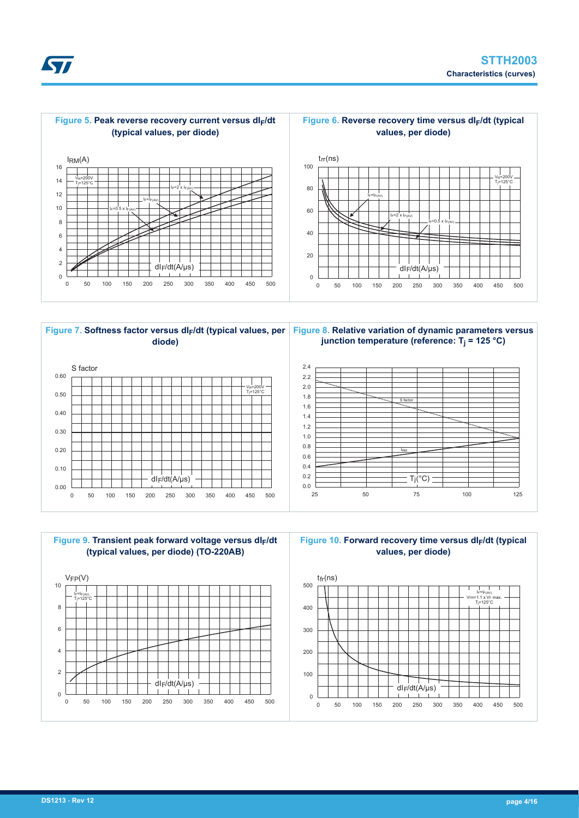





**Figure 8. Relative variation of dynamic parameters versus junction temperature (reference: T<sup>j</sup> = 125 °C)**





**Figure 10. Forward recovery time versus dIF/dt (typical values, per diode)**



**Kyr**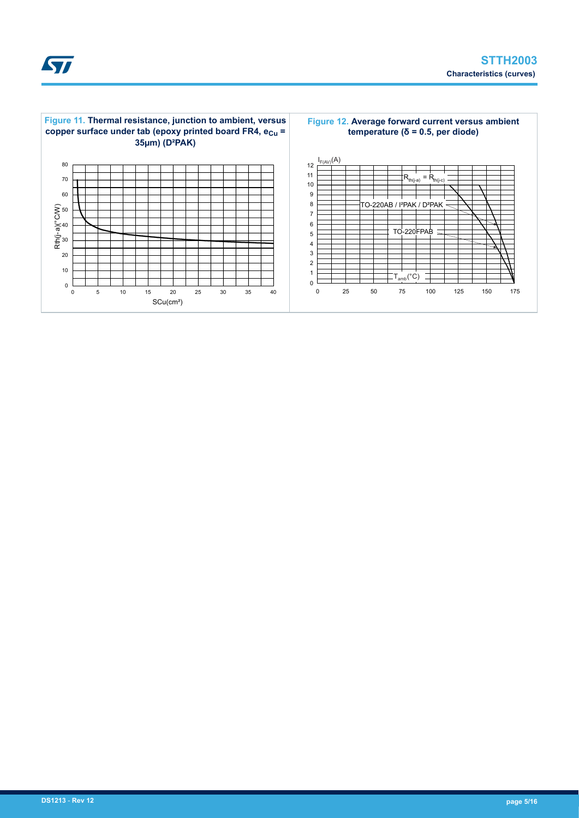

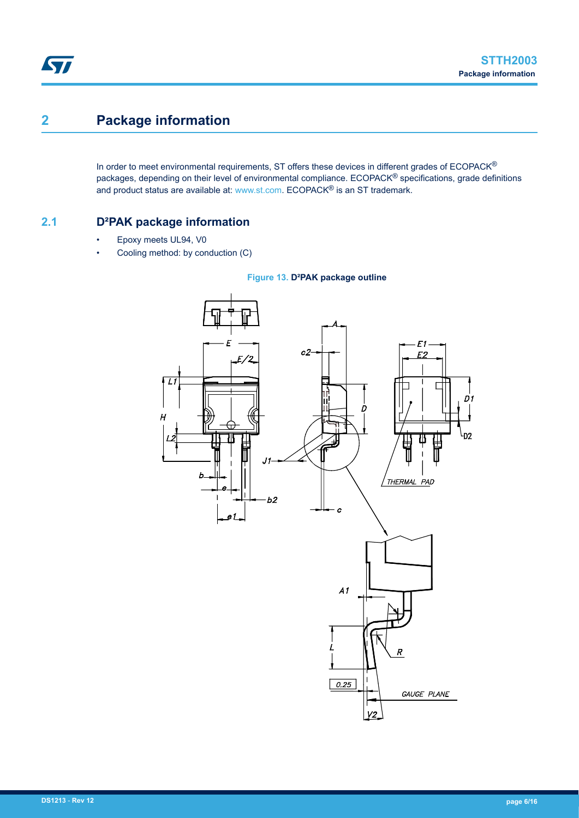# **2 Package information**

In order to meet environmental requirements, ST offers these devices in different grades of ECOPACK® packages, depending on their level of environmental compliance. ECOPACK® specifications, grade definitions and product status are available at: [www.st.com.](http://www.st.com) ECOPACK® is an ST trademark.

### **2.1 D²PAK package information**

- Epoxy meets UL94, V0
- Cooling method: by conduction (C)



#### **Figure 13. D²PAK package outline**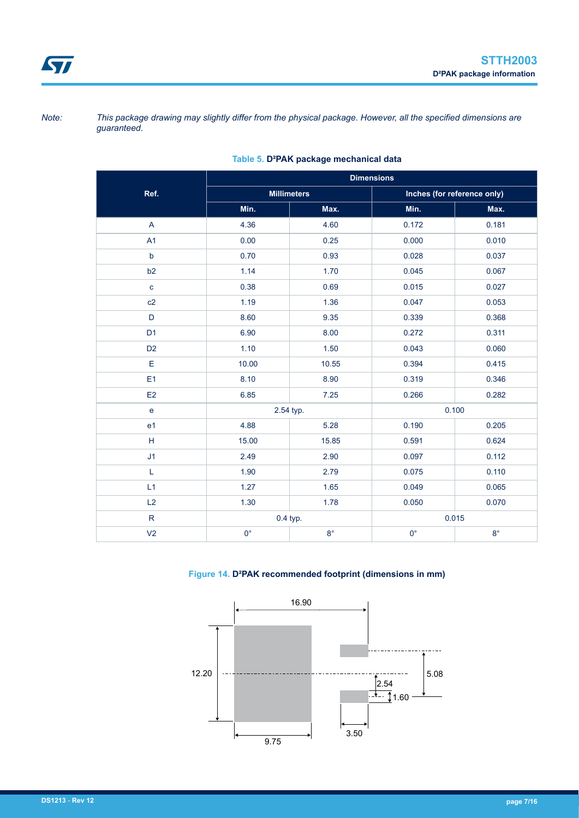*Note: This package drawing may slightly differ from the physical package. However, all the specified dimensions are guaranteed.*

|                                                             | <b>Dimensions</b> |                    |             |                             |  |
|-------------------------------------------------------------|-------------------|--------------------|-------------|-----------------------------|--|
| Ref.                                                        |                   | <b>Millimeters</b> |             | Inches (for reference only) |  |
|                                                             | Min.              | Max.               | Min.        | Max.                        |  |
| A                                                           | 4.36              | 4.60               | 0.172       | 0.181                       |  |
| A1                                                          | 0.00              | 0.25               | 0.000       | 0.010                       |  |
| $\mathsf b$                                                 | 0.70              | 0.93               | 0.028       | 0.037                       |  |
| b2                                                          | 1.14              | 1.70               | 0.045       | 0.067                       |  |
| $\mathbf c$                                                 | 0.38              | 0.69               | 0.015       | 0.027                       |  |
| c2                                                          | 1.19              | 1.36               | 0.047       | 0.053                       |  |
| D                                                           | 8.60              | 9.35               | 0.339       | 0.368                       |  |
| D <sub>1</sub>                                              | 6.90              | 8.00               | 0.272       | 0.311                       |  |
| D <sub>2</sub>                                              | 1.10              | 1.50               | 0.043       | 0.060                       |  |
| E                                                           | 10.00             | 10.55              | 0.394       | 0.415                       |  |
| E1                                                          | 8.10              | 8.90               | 0.319       | 0.346                       |  |
| E2                                                          | 6.85              | 7.25               | 0.266       | 0.282                       |  |
| $\mathbf{e}$                                                | 2.54 typ.         |                    | 0.100       |                             |  |
| e <sub>1</sub>                                              | 4.88              | 5.28               | 0.190       | 0.205                       |  |
| $\mathsf{H}% _{\mathbb{R}}^{1}\left( \mathbb{R}^{2}\right)$ | 15.00             | 15.85              | 0.591       | 0.624                       |  |
| J1                                                          | 2.49              | 2.90               | 0.097       | 0.112                       |  |
| L                                                           | 1.90              | 2.79               | 0.075       | 0.110                       |  |
| L1                                                          | 1.27              | 1.65               | 0.049       | 0.065                       |  |
| L2                                                          | 1.30              | 1.78               | 0.050       | 0.070                       |  |
| $\mathsf{R}$                                                |                   | 0.4 typ.           | 0.015       |                             |  |
| V <sub>2</sub>                                              | $0^{\circ}$       | $8^{\circ}$        | $0^{\circ}$ | $8^{\circ}$                 |  |

#### **Table 5. D²PAK package mechanical data**

**Figure 14. D²PAK recommended footprint (dimensions in mm)**

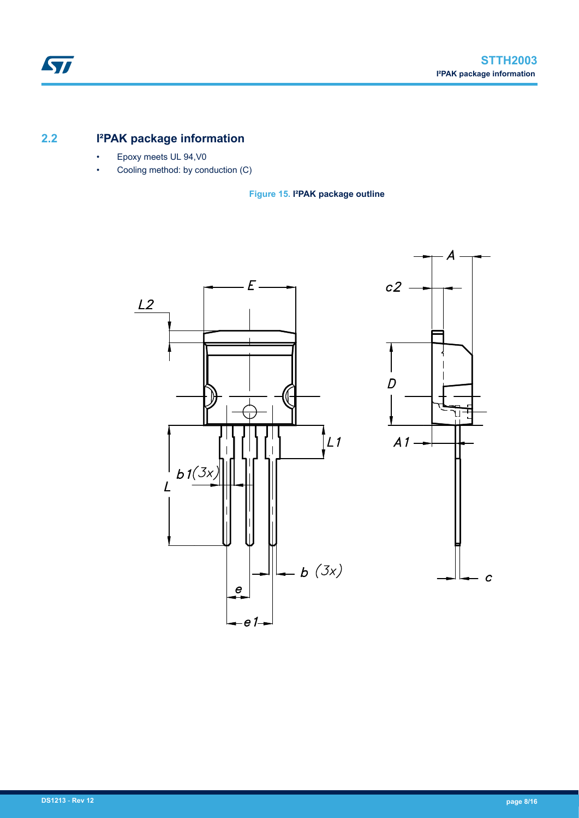### **2.2 I²PAK package information**

- Epoxy meets UL 94,V0
- Cooling method: by conduction (C)

**Figure 15. I²PAK package outline**

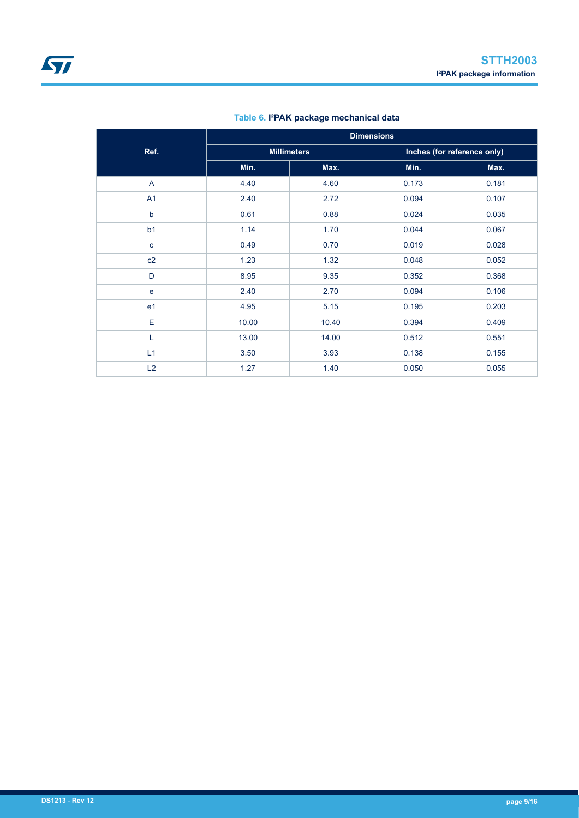|                | <b>Dimensions</b> |                    |                             |       |  |
|----------------|-------------------|--------------------|-----------------------------|-------|--|
| Ref.           |                   | <b>Millimeters</b> | Inches (for reference only) |       |  |
|                | Min.              | Max.               | Min.                        | Max.  |  |
| A              | 4.40              | 4.60               | 0.173                       | 0.181 |  |
| A1             | 2.40              | 2.72               | 0.094                       | 0.107 |  |
| $\mathsf b$    | 0.61              | 0.88               | 0.024                       | 0.035 |  |
| b <sub>1</sub> | 1.14              | 1.70               | 0.044                       | 0.067 |  |
| $\mathbf{C}$   | 0.49              | 0.70               | 0.019                       | 0.028 |  |
| c2             | 1.23              | 1.32               | 0.048                       | 0.052 |  |
| D              | 8.95              | 9.35               | 0.352                       | 0.368 |  |
| e              | 2.40              | 2.70               | 0.094                       | 0.106 |  |
| e <sub>1</sub> | 4.95              | 5.15               | 0.195                       | 0.203 |  |
| E              | 10.00             | 10.40              | 0.394                       | 0.409 |  |
| L              | 13.00             | 14.00              | 0.512                       | 0.551 |  |
| L1             | 3.50              | 3.93               | 0.138                       | 0.155 |  |
| L2             | 1.27              | 1.40               | 0.050                       | 0.055 |  |

#### **Table 6. I²PAK package mechanical data**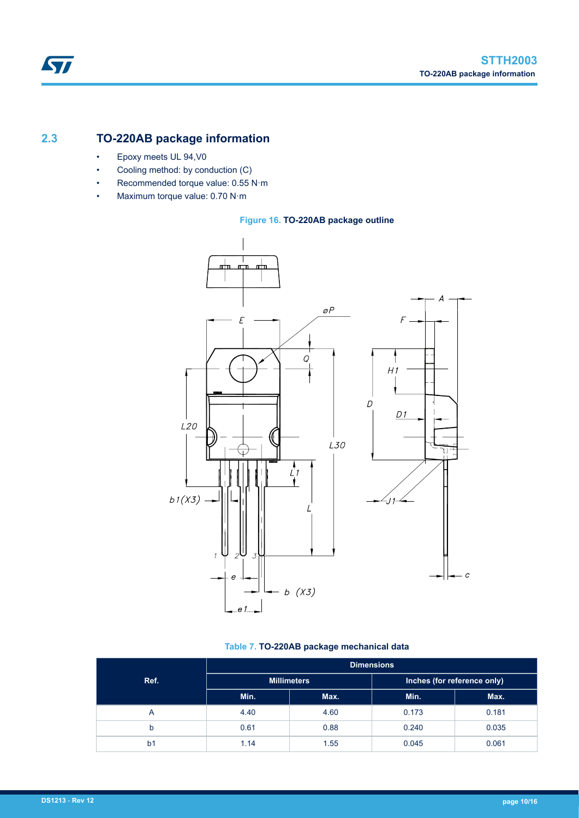### **2.3 TO-220AB package information**

- Epoxy meets UL 94,V0
- Cooling method: by conduction (C)
- Recommended torque value: 0.55 N·m
- Maximum torque value: 0.70 N·m

#### **Figure 16. TO-220AB package outline**



#### **Table 7. TO-220AB package mechanical data**

|                | <b>Dimensions</b>  |      |                             |       |  |
|----------------|--------------------|------|-----------------------------|-------|--|
| Ref.           | <b>Millimeters</b> |      | Inches (for reference only) |       |  |
|                | Min.               | Max. | Min.                        | Max.  |  |
| $\overline{A}$ | 4.40               | 4.60 | 0.173                       | 0.181 |  |
| b              | 0.61               | 0.88 | 0.240                       | 0.035 |  |
| b <sub>1</sub> | 1.14               | 1.55 | 0.045                       | 0.061 |  |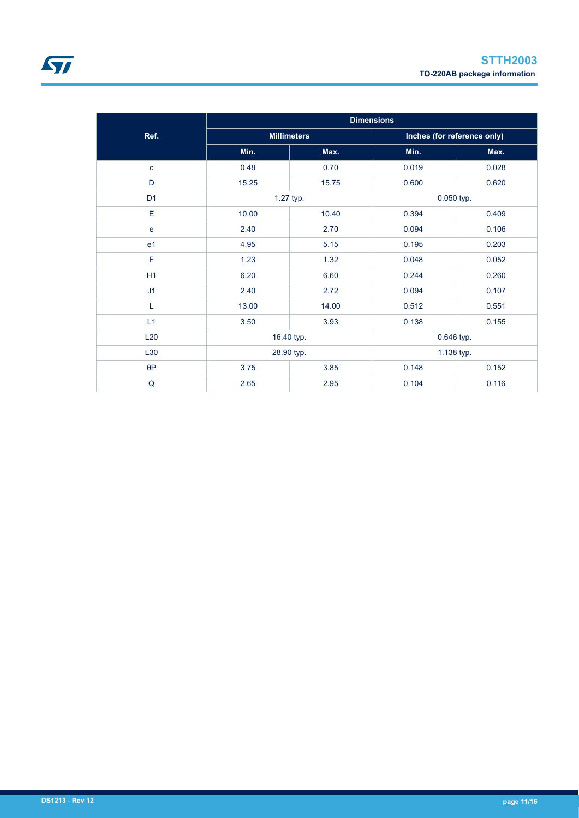|                | <b>Dimensions</b> |                          |       |                             |
|----------------|-------------------|--------------------------|-------|-----------------------------|
| Ref.           |                   | <b>Millimeters</b>       |       | Inches (for reference only) |
|                | Min.              | Max.                     | Min.  | Max.                        |
| $\mathbf{C}$   | 0.48              | 0.70                     | 0.019 | 0.028                       |
| D              | 15.25             | 15.75                    | 0.600 | 0.620                       |
| D <sub>1</sub> |                   | 1.27 typ.                |       | 0.050 typ.                  |
| Е              | 10.00             | 10.40                    | 0.394 | 0.409                       |
| e              | 2.40              | 2.70                     | 0.094 | 0.106                       |
| e <sub>1</sub> | 4.95              | 5.15                     | 0.195 | 0.203                       |
| F              | 1.23              | 1.32                     | 0.048 | 0.052                       |
| H1             | 6.20              | 6.60                     | 0.244 | 0.260                       |
| J1             | 2.40              | 2.72                     | 0.094 | 0.107                       |
| L              | 13.00             | 14.00                    | 0.512 | 0.551                       |
| L1             | 3.50              | 3.93                     | 0.138 | 0.155                       |
| L20            |                   | 16.40 typ.<br>0.646 typ. |       |                             |
| L30            | 28.90 typ.        |                          |       | 1.138 typ.                  |
| $\theta P$     | 3.75              | 3.85                     | 0.148 | 0.152                       |
| Q              | 2.65              | 2.95                     | 0.104 | 0.116                       |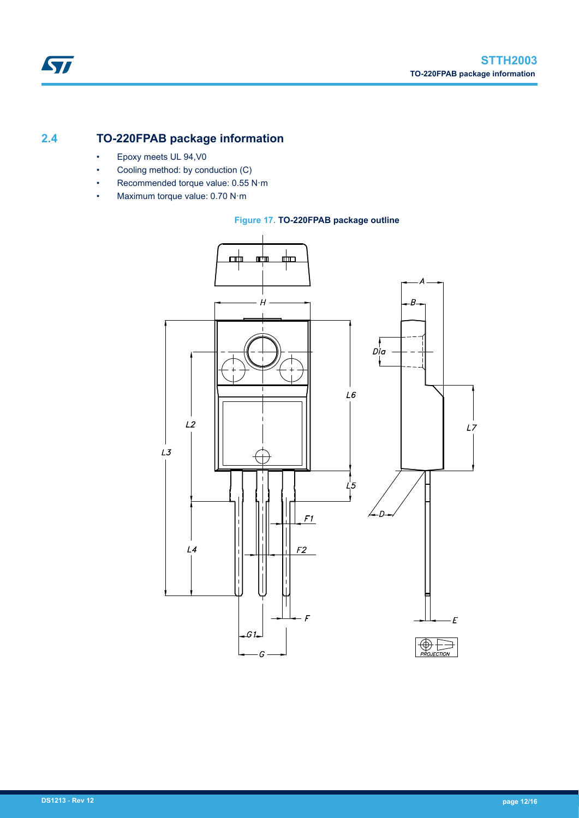### **2.4 TO-220FPAB package information**

- Epoxy meets UL 94,V0
- Cooling method: by conduction (C)
- Recommended torque value: 0.55 N·m
- Maximum torque value: 0.70 N·m

#### **Figure 17. TO-220FPAB package outline**

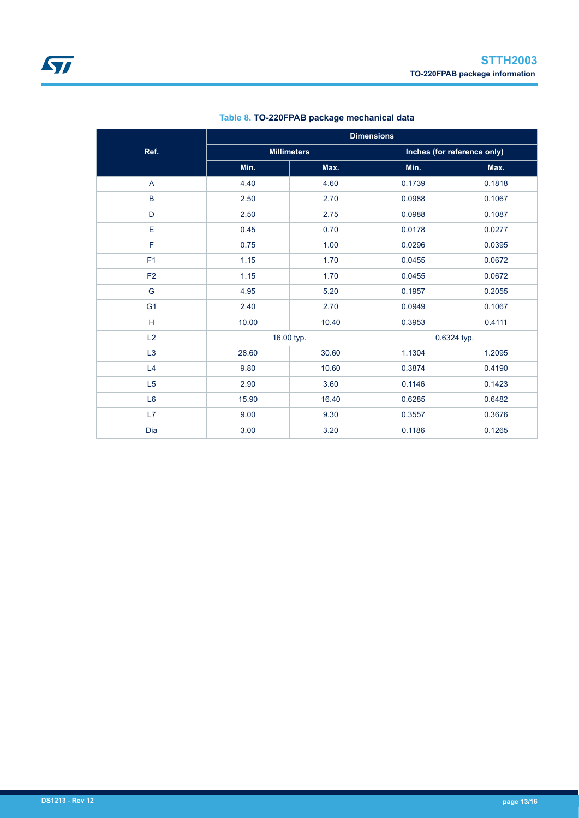|                | <b>Dimensions</b> |                    |        |                             |  |
|----------------|-------------------|--------------------|--------|-----------------------------|--|
| Ref.           |                   | <b>Millimeters</b> |        | Inches (for reference only) |  |
|                | Min.              | Max.               | Min.   | Max.                        |  |
| $\overline{A}$ | 4.40              | 4.60               | 0.1739 | 0.1818                      |  |
| $\, {\bf B}$   | 2.50              | 2.70               | 0.0988 | 0.1067                      |  |
| D              | 2.50              | 2.75               | 0.0988 | 0.1087                      |  |
| E              | 0.45              | 0.70               | 0.0178 | 0.0277                      |  |
| F              | 0.75              | 1.00               | 0.0296 | 0.0395                      |  |
| F <sub>1</sub> | 1.15              | 1.70               | 0.0455 | 0.0672                      |  |
| F <sub>2</sub> | 1.15              | 1.70               | 0.0455 | 0.0672                      |  |
| G              | 4.95              | 5.20               | 0.1957 | 0.2055                      |  |
| G <sub>1</sub> | 2.40              | 2.70               | 0.0949 | 0.1067                      |  |
| H              | 10.00             | 10.40              | 0.3953 | 0.4111                      |  |
| L2             | 16.00 typ.        |                    |        | 0.6324 typ.                 |  |
| L <sub>3</sub> | 28.60             | 30.60              | 1.1304 | 1.2095                      |  |
| L4             | 9.80              | 10.60              | 0.3874 | 0.4190                      |  |
| L5             | 2.90              | 3.60               | 0.1146 | 0.1423                      |  |
| L6             | 15.90             | 16.40              | 0.6285 | 0.6482                      |  |
| L7             | 9.00              | 9.30               | 0.3557 | 0.3676                      |  |
| Dia            | 3.00              | 3.20               | 0.1186 | 0.1265                      |  |

#### **Table 8. TO-220FPAB package mechanical data**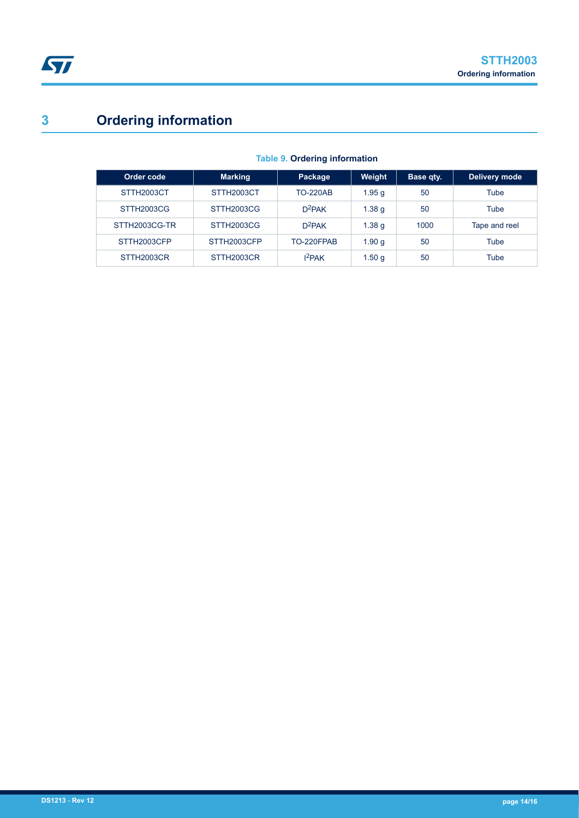# **3 Ordering information**

| Order code    | <b>Marking</b> | Package            | Weight            | <b>Base qty.</b> | Delivery mode |
|---------------|----------------|--------------------|-------------------|------------------|---------------|
| STTH2003CT    | STTH2003CT     | <b>TO-220AB</b>    | 1.95q             | 50               | Tube          |
| STTH2003CG    | STTH2003CG     | $D^2$ PAK          | 1.38 <sub>q</sub> | 50               | Tube          |
| STTH2003CG-TR | STTH2003CG     | $D^2$ PAK          | 1.38 <sub>q</sub> | 1000             | Tape and reel |
| STTH2003CFP   | STTH2003CFP    | TO-220FPAB         | 1.90q             | 50               | Tube          |
| STTH2003CR    | STTH2003CR     | 1 <sup>2</sup> PAK | 1.50q             | 50               | Tube          |

#### **Table 9. Ordering information**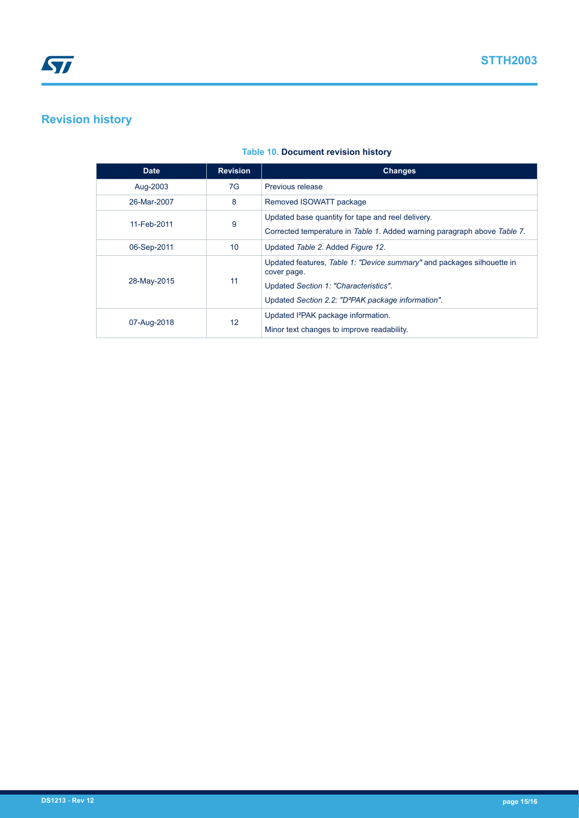# **Revision history**

| <b>Date</b> | <b>Revision</b> | <b>Changes</b>                                                                                                                                                                                   |
|-------------|-----------------|--------------------------------------------------------------------------------------------------------------------------------------------------------------------------------------------------|
| Aug-2003    | 7G              | Previous release                                                                                                                                                                                 |
| 26-Mar-2007 | 8               | Removed ISOWATT package                                                                                                                                                                          |
| 11-Feb-2011 | 9               | Updated base quantity for tape and reel delivery.<br>Corrected temperature in Table 1. Added warning paragraph above Table 7.                                                                    |
| 06-Sep-2011 | 10              | Updated Table 2. Added Figure 12.                                                                                                                                                                |
| 28-May-2015 | 11              | Updated features, Table 1: "Device summary" and packages silhouette in<br>cover page.<br>Updated Section 1: "Characteristics".<br>Updated Section 2.2: "D <sup>2</sup> PAK package information". |
| 07-Aug-2018 | 12              | Updated I <sup>2</sup> PAK package information.<br>Minor text changes to improve readability.                                                                                                    |